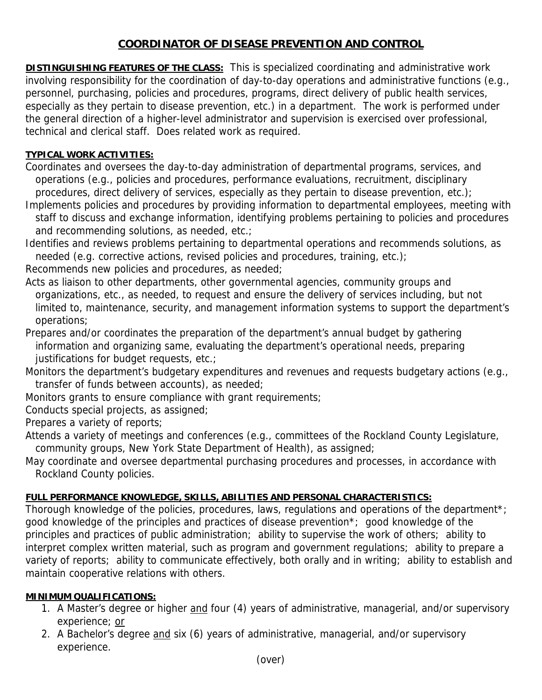## **COORDINATOR OF DISEASE PREVENTION AND CONTROL**

**DISTINGUISHING FEATURES OF THE CLASS:** This is specialized coordinating and administrative work involving responsibility for the coordination of day-to-day operations and administrative functions (e.g., personnel, purchasing, policies and procedures, programs, direct delivery of public health services, especially as they pertain to disease prevention, etc.) in a department. The work is performed under the general direction of a higher-level administrator and supervision is exercised over professional, technical and clerical staff. Does related work as required.

## **TYPICAL WORK ACTIVITIES:**

Coordinates and oversees the day-to-day administration of departmental programs, services, and operations (e.g., policies and procedures, performance evaluations, recruitment, disciplinary procedures, direct delivery of services, especially as they pertain to disease prevention, etc.);

Implements policies and procedures by providing information to departmental employees, meeting with staff to discuss and exchange information, identifying problems pertaining to policies and procedures and recommending solutions, as needed, etc.;

Identifies and reviews problems pertaining to departmental operations and recommends solutions, as needed (e.g. corrective actions, revised policies and procedures, training, etc.);

Recommends new policies and procedures, as needed;

Acts as liaison to other departments, other governmental agencies, community groups and organizations, etc., as needed, to request and ensure the delivery of services including, but not limited to, maintenance, security, and management information systems to support the department's operations;

Prepares and/or coordinates the preparation of the department's annual budget by gathering information and organizing same, evaluating the department's operational needs, preparing justifications for budget requests, etc.;

Monitors the department's budgetary expenditures and revenues and requests budgetary actions (e.g., transfer of funds between accounts), as needed;

Monitors grants to ensure compliance with grant requirements;

Conducts special projects, as assigned;

Prepares a variety of reports;

Attends a variety of meetings and conferences (e.g., committees of the Rockland County Legislature, community groups, New York State Department of Health), as assigned;

May coordinate and oversee departmental purchasing procedures and processes, in accordance with Rockland County policies.

## **FULL PERFORMANCE KNOWLEDGE, SKILLS, ABILITIES AND PERSONAL CHARACTERISTICS:**

Thorough knowledge of the policies, procedures, laws, regulations and operations of the department\*; good knowledge of the principles and practices of disease prevention\*; good knowledge of the principles and practices of public administration; ability to supervise the work of others; ability to interpret complex written material, such as program and government regulations; ability to prepare a variety of reports; ability to communicate effectively, both orally and in writing; ability to establish and maintain cooperative relations with others.

## **MINIMUM QUALIFICATIONS:**

- 1. A Master's degree or higher and four (4) years of administrative, managerial, and/or supervisory experience; or
- 2. A Bachelor's degree and six (6) years of administrative, managerial, and/or supervisory experience.